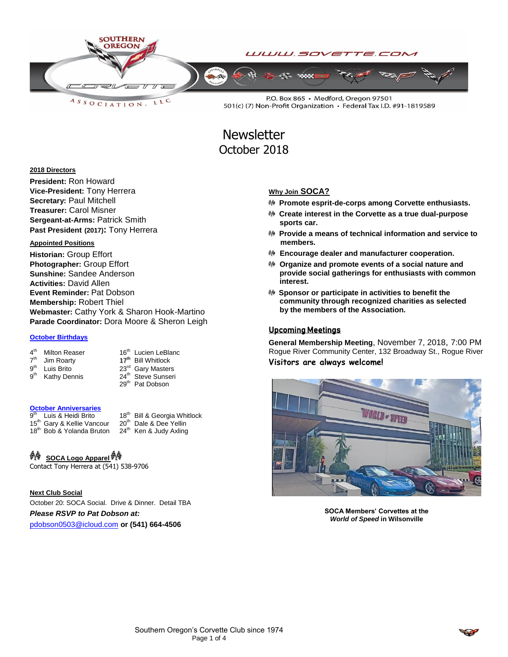

**Newsletter** October 2018

### **2018 Directors**

**President:** Ron Howard **Vice-President:** Tony Herrera **Secretary:** Paul Mitchell **Treasurer:** Carol Misner **Sergeant-at-Arms:** Patrick Smith **Past President (2017):** Tony Herrera

# **Appointed Positions**

**Historian:** Group Effort **Photographer:** Group Effort **Sunshine:** Sandee Anderson **Activities:** David Allen **Event Reminder:** Pat Dobson **Membership:** Robert Thiel **Webmaster:** Cathy York & Sharon Hook-Martino **Parade Coordinator:** Dora Moore & Sheron Leigh

### **October Birthdays**

| $4^{\sf th}$    | Milton Reaser              | 16 <sup>th</sup> Lucien LeBlanc |
|-----------------|----------------------------|---------------------------------|
|                 | 7 <sup>th</sup> Jim Roarty | 17 <sup>th</sup> Bill Whitlock  |
| g <sup>th</sup> | Luis Brito                 | 23rd Gary Masters               |
| $9^{\text{th}}$ | Kathy Dennis               | 24 <sup>th</sup> Steve Sunseri  |
|                 |                            | 29 <sup>th</sup> Pat Dobson     |

## **October Anniversaries**

a<sup>th</sup> Luis & Heidi Brito 18<sup>th</sup> Bill & Georgia Whitlock<br>Gary & Kellie Vancour 20<sup>th</sup> Dale & Dee Yellin 15<sup>th</sup> Gary & Kellie Vancour 20<sup>th</sup> Dale & Dee Yellin<br>18<sup>th</sup> Bob & Yolanda Bruton 24<sup>th</sup> Ken & Judy Axling 18<sup>th</sup> Bob & Yolanda Bruton

#### ₩ **SOCA Logo Apparel**

Contact Tony Herrera at (541) 538-9706

**Next Club Social** October 20: SOCA Social. Drive & Dinner. Detail TBA

*Please RSVP to Pat Dobson at:*

[pdobson0503@icloud.com](mailto:pdobson0503@icloud.com) **or (541) 664-4506**

### **Why Join SOCA?**

- **Promote esprit-de-corps among Corvette enthusiasts.**
- **Create interest in the Corvette as a true dual-purpose sports car.**
- **Provide a means of technical information and service to members.**
- **Encourage dealer and manufacturer cooperation.**
- **Organize and promote events of a social nature and provide social gatherings for enthusiasts with common interest.**
- **Sponsor or participate in activities to benefit the community through recognized charities as selected by the members of the Association.**

## Upcoming Meetings

**General Membership Meeting**, November 7, 2018, 7:00 PM Rogue River Community Center, 132 Broadway St., Rogue River **Visitors are always welcome!**



**SOCA Members' Corvettes at the**  *World of Speed* **in Wilsonville**

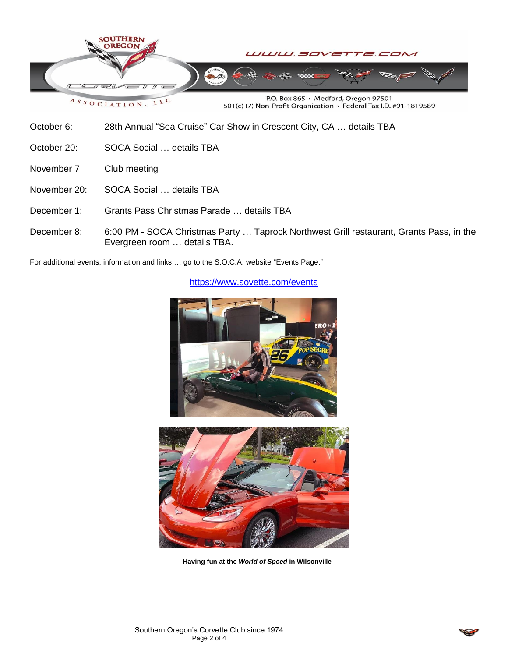

October 6: 28th Annual "Sea Cruise" Car Show in Crescent City, CA … details TBA

October 20: SOCA Social ... details TBA

- November 7 Club meeting
- November 20: SOCA Social … details TBA
- December 1: Grants Pass Christmas Parade … details TBA
- December 8: 6:00 PM SOCA Christmas Party … Taprock Northwest Grill restaurant, Grants Pass, in the Evergreen room … details TBA.

For additional events, information and links … go to the S.O.C.A. website "Events Page:"



<https://www.sovette.com/events>

**Having fun at the** *World of Speed* **in Wilsonville**

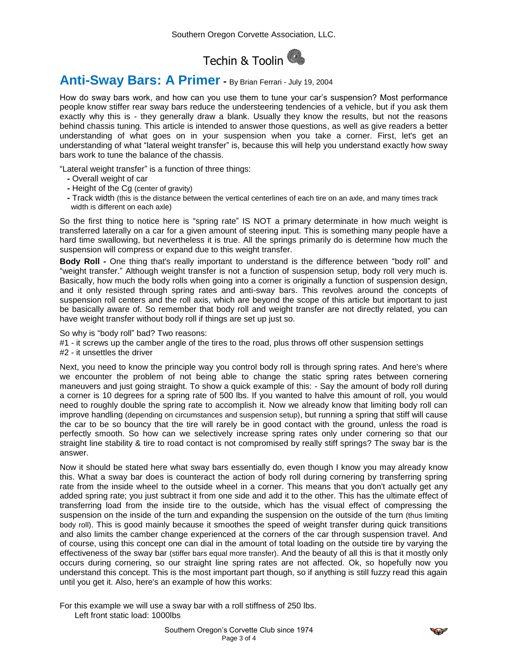

# **Anti-Sway Bars: A Primer -** By Brian Ferrari - July 19, 2004

How do sway bars work, and how can you use them to tune your car's suspension? Most performance people know stiffer rear sway bars reduce the understeering tendencies of a vehicle, but if you ask them exactly why this is - they generally draw a blank. Usually they know the results, but not the reasons behind chassis tuning. This article is intended to answer those questions, as well as give readers a better understanding of what goes on in your suspension when you take a corner. First, let's get an understanding of what "lateral weight transfer" is, because this will help you understand exactly how sway bars work to tune the balance of the chassis.

"Lateral weight transfer" is a function of three things:

- **-** Overall weight of car
- **-** Height of the Cg (center of gravity)
- **-** Track width (this is the distance between the vertical centerlines of each tire on an axle, and many times track width is different on each axle)

So the first thing to notice here is "spring rate" IS NOT a primary determinate in how much weight is transferred laterally on a car for a given amount of steering input. This is something many people have a hard time swallowing, but nevertheless it is true. All the springs primarily do is determine how much the suspension will compress or expand due to this weight transfer.

**Body Roll -** One thing that's really important to understand is the difference between "body roll" and "weight transfer." Although weight transfer is not a function of suspension setup, body roll very much is. Basically, how much the body rolls when going into a corner is originally a function of suspension design, and it only resisted through spring rates and anti-sway bars. This revolves around the concepts of suspension roll centers and the roll axis, which are beyond the scope of this article but important to just be basically aware of. So remember that body roll and weight transfer are not directly related, you can have weight transfer without body roll if things are set up just so.

So why is "body roll" bad? Two reasons:

#1 - it screws up the camber angle of the tires to the road, plus throws off other suspension settings

#2 - it unsettles the driver

Next, you need to know the principle way you control body roll is through spring rates. And here's where we encounter the problem of not being able to change the static spring rates between cornering maneuvers and just going straight. To show a quick example of this: - Say the amount of body roll during a corner is 10 degrees for a spring rate of 500 lbs. If you wanted to halve this amount of roll, you would need to roughly double the spring rate to accomplish it. Now we already know that limiting body roll can improve handling (depending on circumstances and suspension setup), but running a spring that stiff will cause the car to be so bouncy that the tire will rarely be in good contact with the ground, unless the road is perfectly smooth. So how can we selectively increase spring rates only under cornering so that our straight line stability & tire to road contact is not compromised by really stiff springs? The sway bar is the answer.

Now it should be stated here what sway bars essentially do, even though I know you may already know this. What a sway bar does is counteract the action of body roll during cornering by transferring spring rate from the inside wheel to the outside wheel in a corner. This means that you don't actually get any added spring rate; you just subtract it from one side and add it to the other. This has the ultimate effect of transferring load from the inside tire to the outside, which has the visual effect of compressing the suspension on the inside of the turn and expanding the suspension on the outside of the turn (thus limiting body roll). This is good mainly because it smoothes the speed of weight transfer during quick transitions and also limits the camber change experienced at the corners of the car through suspension travel. And of course, using this concept one can dial in the amount of total loading on the outside tire by varying the effectiveness of the sway bar (stiffer bars equal more transfer). And the beauty of all this is that it mostly only occurs during cornering, so our straight line spring rates are not affected. Ok, so hopefully now you understand this concept. This is the most important part though, so if anything is still fuzzy read this again until you get it. Also, here's an example of how this works:

For this example we will use a sway bar with a roll stiffness of 250 lbs. Left front static load: 1000lbs